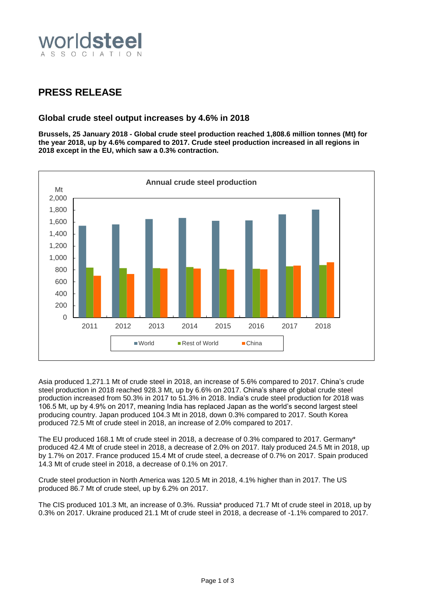

## **PRESS RELEASE**

### **Global crude steel output increases by 4.6% in 2018**

**Brussels, 25 January 2018 - Global crude steel production reached 1,808.6 million tonnes (Mt) for the year 2018, up by 4.6% compared to 2017. Crude steel production increased in all regions in 2018 except in the EU, which saw a 0.3% contraction.**



Asia produced 1,271.1 Mt of crude steel in 2018, an increase of 5.6% compared to 2017. China's crude steel production in 2018 reached 928.3 Mt, up by 6.6% on 2017. China's share of global crude steel production increased from 50.3% in 2017 to 51.3% in 2018. India's crude steel production for 2018 was 106.5 Mt, up by 4.9% on 2017, meaning India has replaced Japan as the world's second largest steel producing country. Japan produced 104.3 Mt in 2018, down 0.3% compared to 2017. South Korea produced 72.5 Mt of crude steel in 2018, an increase of 2.0% compared to 2017.

The EU produced 168.1 Mt of crude steel in 2018, a decrease of 0.3% compared to 2017. Germany\* produced 42.4 Mt of crude steel in 2018, a decrease of 2.0% on 2017. Italy produced 24.5 Mt in 2018, up by 1.7% on 2017. France produced 15.4 Mt of crude steel, a decrease of 0.7% on 2017. Spain produced 14.3 Mt of crude steel in 2018, a decrease of 0.1% on 2017.

Crude steel production in North America was 120.5 Mt in 2018, 4.1% higher than in 2017. The US produced 86.7 Mt of crude steel, up by 6.2% on 2017.

The CIS produced 101.3 Mt, an increase of 0.3%. Russia\* produced 71.7 Mt of crude steel in 2018, up by 0.3% on 2017. Ukraine produced 21.1 Mt of crude steel in 2018, a decrease of -1.1% compared to 2017.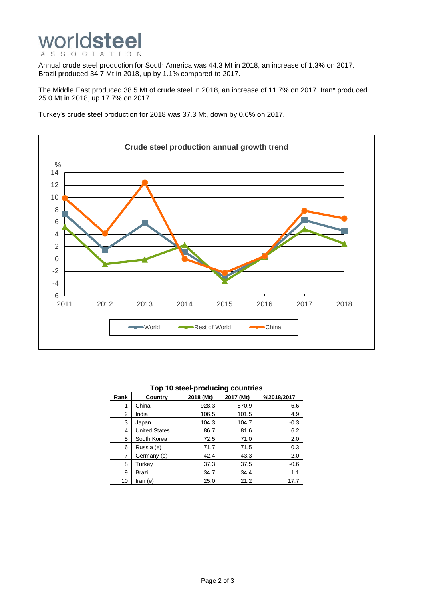

Annual crude steel production for South America was 44.3 Mt in 2018, an increase of 1.3% on 2017. Brazil produced 34.7 Mt in 2018, up by 1.1% compared to 2017.

The Middle East produced 38.5 Mt of crude steel in 2018, an increase of 11.7% on 2017. Iran\* produced 25.0 Mt in 2018, up 17.7% on 2017.

Turkey's crude steel production for 2018 was 37.3 Mt, down by 0.6% on 2017.



| Top 10 steel-producing countries |                      |           |           |            |
|----------------------------------|----------------------|-----------|-----------|------------|
| Rank                             | <b>Country</b>       | 2018 (Mt) | 2017 (Mt) | %2018/2017 |
| 1                                | China                | 928.3     | 870.9     | 6.6        |
| 2                                | India                | 106.5     | 101.5     | 4.9        |
| 3                                | Japan                | 104.3     | 104.7     | $-0.3$     |
| 4                                | <b>United States</b> | 86.7      | 81.6      | 6.2        |
| 5                                | South Korea          | 72.5      | 71.0      | 2.0        |
| 6                                | Russia (e)           | 71.7      | 71.5      | 0.3        |
| 7                                | Germany (e)          | 42.4      | 43.3      | $-2.0$     |
| 8                                | Turkey               | 37.3      | 37.5      | $-0.6$     |
| 9                                | <b>Brazil</b>        | 34.7      | 34.4      | 1.1        |
| 10                               | Iran (e)             | 25.0      | 21.2      | 17.7       |